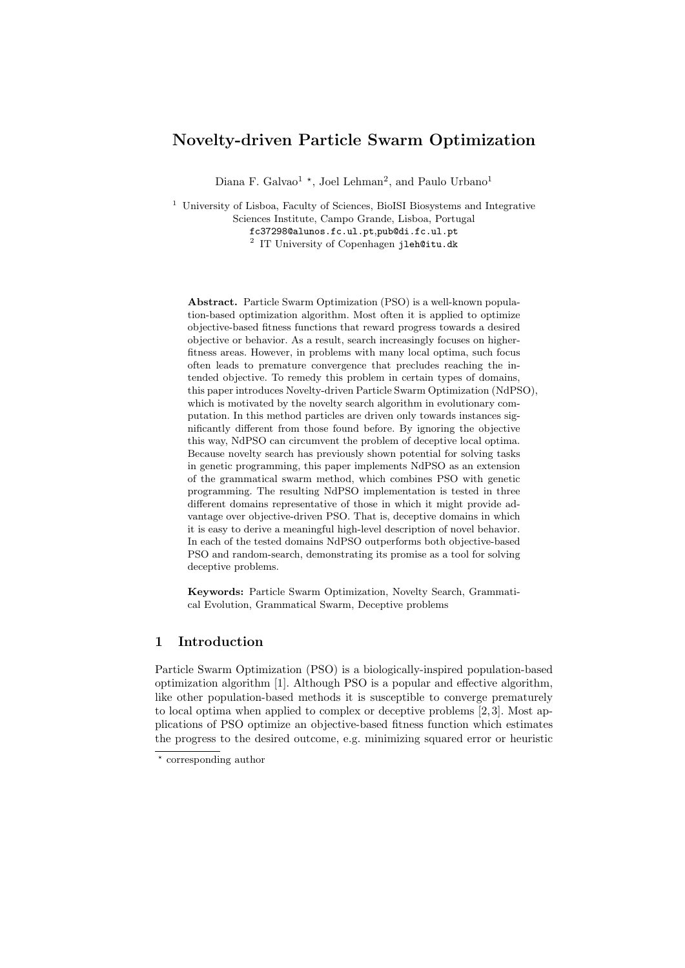Diana F. Galvao<sup>1</sup><sup>\*</sup>, Joel Lehman<sup>2</sup>, and Paulo Urbano<sup>1</sup>

<sup>1</sup> University of Lisboa, Faculty of Sciences, BioISI Biosystems and Integrative Sciences Institute, Campo Grande, Lisboa, Portugal fc37298@alunos.fc.ul.pt,pub@di.fc.ul.pt <sup>2</sup> IT University of Copenhagen jleh@itu.dk

Abstract. Particle Swarm Optimization (PSO) is a well-known population-based optimization algorithm. Most often it is applied to optimize objective-based fitness functions that reward progress towards a desired objective or behavior. As a result, search increasingly focuses on higherfitness areas. However, in problems with many local optima, such focus often leads to premature convergence that precludes reaching the intended objective. To remedy this problem in certain types of domains, this paper introduces Novelty-driven Particle Swarm Optimization (NdPSO), which is motivated by the novelty search algorithm in evolutionary computation. In this method particles are driven only towards instances significantly different from those found before. By ignoring the objective this way, NdPSO can circumvent the problem of deceptive local optima. Because novelty search has previously shown potential for solving tasks in genetic programming, this paper implements NdPSO as an extension of the grammatical swarm method, which combines PSO with genetic programming. The resulting NdPSO implementation is tested in three different domains representative of those in which it might provide advantage over objective-driven PSO. That is, deceptive domains in which it is easy to derive a meaningful high-level description of novel behavior. In each of the tested domains NdPSO outperforms both objective-based PSO and random-search, demonstrating its promise as a tool for solving deceptive problems.

Keywords: Particle Swarm Optimization, Novelty Search, Grammatical Evolution, Grammatical Swarm, Deceptive problems

# 1 Introduction

Particle Swarm Optimization (PSO) is a biologically-inspired population-based optimization algorithm [1]. Although PSO is a popular and effective algorithm, like other population-based methods it is susceptible to converge prematurely to local optima when applied to complex or deceptive problems [2, 3]. Most applications of PSO optimize an objective-based fitness function which estimates the progress to the desired outcome, e.g. minimizing squared error or heuristic

<sup>?</sup> corresponding author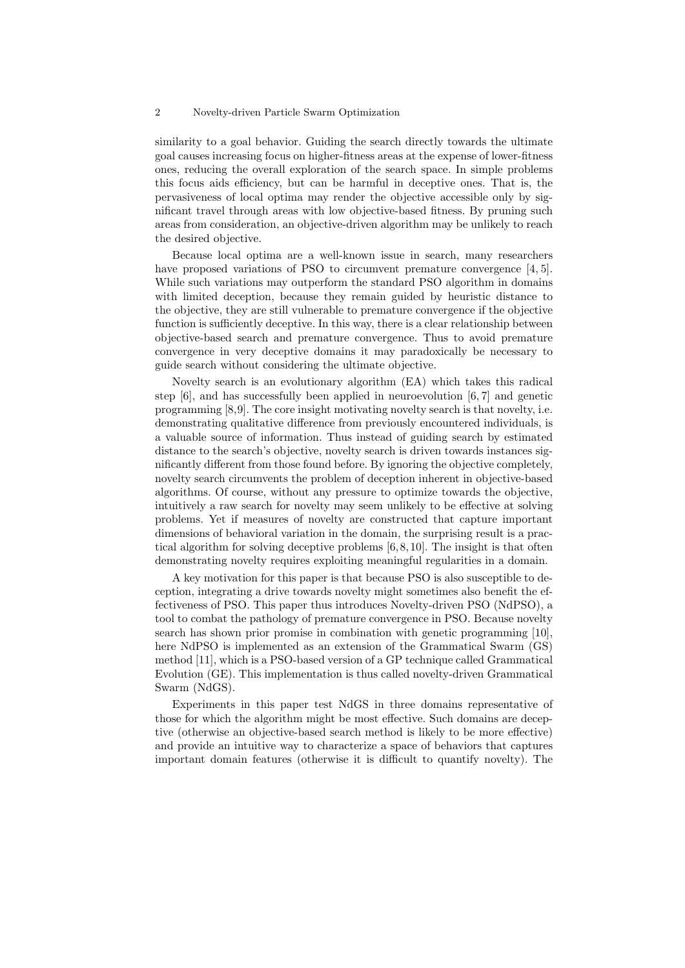similarity to a goal behavior. Guiding the search directly towards the ultimate goal causes increasing focus on higher-fitness areas at the expense of lower-fitness ones, reducing the overall exploration of the search space. In simple problems this focus aids efficiency, but can be harmful in deceptive ones. That is, the pervasiveness of local optima may render the objective accessible only by significant travel through areas with low objective-based fitness. By pruning such areas from consideration, an objective-driven algorithm may be unlikely to reach the desired objective.

Because local optima are a well-known issue in search, many researchers have proposed variations of PSO to circumvent premature convergence [4, 5]. While such variations may outperform the standard PSO algorithm in domains with limited deception, because they remain guided by heuristic distance to the objective, they are still vulnerable to premature convergence if the objective function is sufficiently deceptive. In this way, there is a clear relationship between objective-based search and premature convergence. Thus to avoid premature convergence in very deceptive domains it may paradoxically be necessary to guide search without considering the ultimate objective.

Novelty search is an evolutionary algorithm (EA) which takes this radical step [6], and has successfully been applied in neuroevolution [6, 7] and genetic programming [8,9]. The core insight motivating novelty search is that novelty, i.e. demonstrating qualitative difference from previously encountered individuals, is a valuable source of information. Thus instead of guiding search by estimated distance to the search's objective, novelty search is driven towards instances significantly different from those found before. By ignoring the objective completely, novelty search circumvents the problem of deception inherent in objective-based algorithms. Of course, without any pressure to optimize towards the objective, intuitively a raw search for novelty may seem unlikely to be effective at solving problems. Yet if measures of novelty are constructed that capture important dimensions of behavioral variation in the domain, the surprising result is a practical algorithm for solving deceptive problems  $[6, 8, 10]$ . The insight is that often demonstrating novelty requires exploiting meaningful regularities in a domain.

A key motivation for this paper is that because PSO is also susceptible to deception, integrating a drive towards novelty might sometimes also benefit the effectiveness of PSO. This paper thus introduces Novelty-driven PSO (NdPSO), a tool to combat the pathology of premature convergence in PSO. Because novelty search has shown prior promise in combination with genetic programming [10], here NdPSO is implemented as an extension of the Grammatical Swarm (GS) method [11], which is a PSO-based version of a GP technique called Grammatical Evolution (GE). This implementation is thus called novelty-driven Grammatical Swarm (NdGS).

Experiments in this paper test NdGS in three domains representative of those for which the algorithm might be most effective. Such domains are deceptive (otherwise an objective-based search method is likely to be more effective) and provide an intuitive way to characterize a space of behaviors that captures important domain features (otherwise it is difficult to quantify novelty). The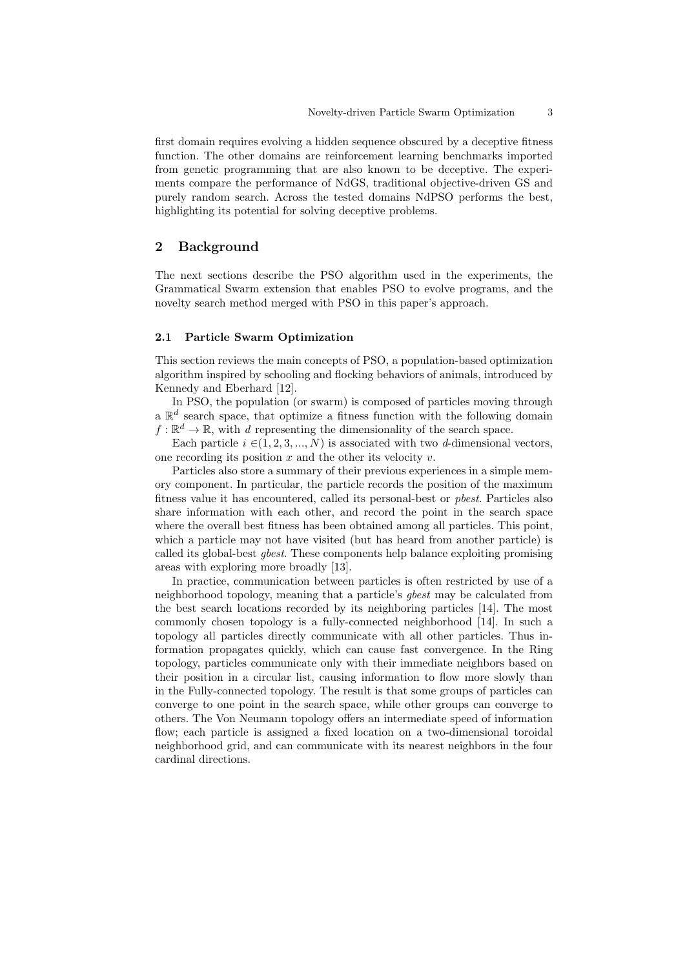first domain requires evolving a hidden sequence obscured by a deceptive fitness function. The other domains are reinforcement learning benchmarks imported from genetic programming that are also known to be deceptive. The experiments compare the performance of NdGS, traditional objective-driven GS and purely random search. Across the tested domains NdPSO performs the best, highlighting its potential for solving deceptive problems.

# 2 Background

The next sections describe the PSO algorithm used in the experiments, the Grammatical Swarm extension that enables PSO to evolve programs, and the novelty search method merged with PSO in this paper's approach.

# 2.1 Particle Swarm Optimization

This section reviews the main concepts of PSO, a population-based optimization algorithm inspired by schooling and flocking behaviors of animals, introduced by Kennedy and Eberhard [12].

In PSO, the population (or swarm) is composed of particles moving through a  $\mathbb{R}^d$  search space, that optimize a fitness function with the following domain  $f: \mathbb{R}^d \to \mathbb{R}$ , with d representing the dimensionality of the search space.

Each particle  $i \in (1, 2, 3, ..., N)$  is associated with two d-dimensional vectors, one recording its position  $x$  and the other its velocity  $v$ .

Particles also store a summary of their previous experiences in a simple memory component. In particular, the particle records the position of the maximum fitness value it has encountered, called its personal-best or pbest. Particles also share information with each other, and record the point in the search space where the overall best fitness has been obtained among all particles. This point, which a particle may not have visited (but has heard from another particle) is called its global-best gbest. These components help balance exploiting promising areas with exploring more broadly [13].

In practice, communication between particles is often restricted by use of a neighborhood topology, meaning that a particle's gbest may be calculated from the best search locations recorded by its neighboring particles [14]. The most commonly chosen topology is a fully-connected neighborhood [14]. In such a topology all particles directly communicate with all other particles. Thus information propagates quickly, which can cause fast convergence. In the Ring topology, particles communicate only with their immediate neighbors based on their position in a circular list, causing information to flow more slowly than in the Fully-connected topology. The result is that some groups of particles can converge to one point in the search space, while other groups can converge to others. The Von Neumann topology offers an intermediate speed of information flow; each particle is assigned a fixed location on a two-dimensional toroidal neighborhood grid, and can communicate with its nearest neighbors in the four cardinal directions.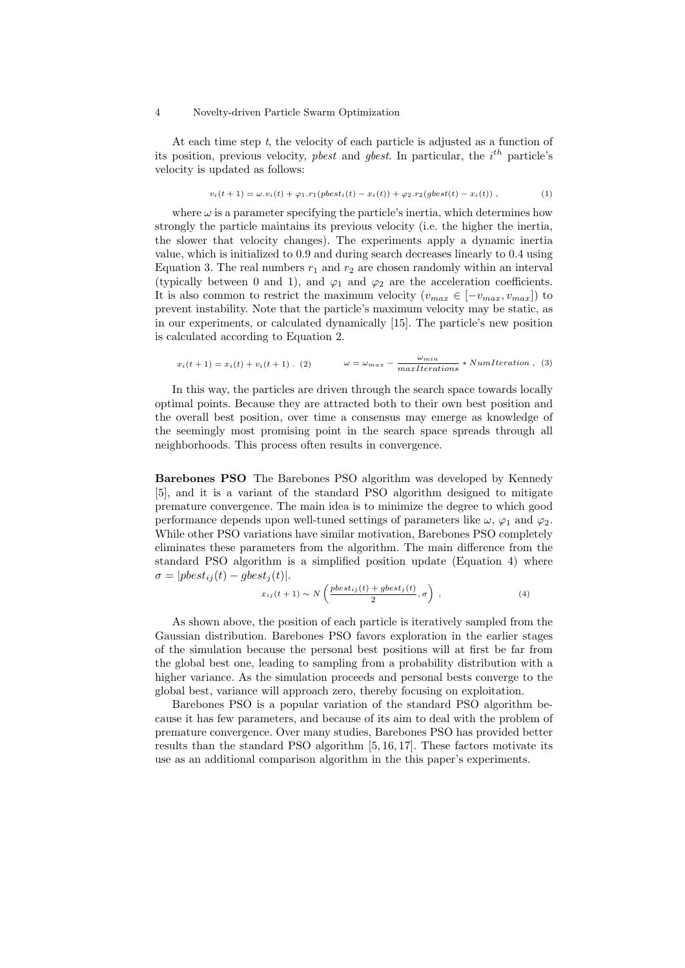At each time step  $t$ , the velocity of each particle is adjusted as a function of its position, previous velocity, *phest* and *ghest*. In particular, the  $i<sup>th</sup>$  particle's velocity is updated as follows:

$$
v_i(t+1) = \omega \cdot v_i(t) + \varphi_1 \cdot r_1(\text{pbest}_i(t) - x_i(t)) + \varphi_2 \cdot r_2(\text{gbest}(t) - x_i(t)), \qquad (1)
$$

where  $\omega$  is a parameter specifying the particle's inertia, which determines how strongly the particle maintains its previous velocity (i.e. the higher the inertia, the slower that velocity changes). The experiments apply a dynamic inertia value, which is initialized to 0.9 and during search decreases linearly to 0.4 using Equation 3. The real numbers  $r_1$  and  $r_2$  are chosen randomly within an interval (typically between 0 and 1), and  $\varphi_1$  and  $\varphi_2$  are the acceleration coefficients. It is also common to restrict the maximum velocity  $(v_{max} \in [-v_{max}, v_{max}])$  to prevent instability. Note that the particle's maximum velocity may be static, as in our experiments, or calculated dynamically [15]. The particle's new position is calculated according to Equation 2.

$$
x_i(t+1) = x_i(t) + v_i(t+1) \tag{2}
$$
\n
$$
\omega = \omega_{max} - \frac{\omega_{min}}{maxIteration} * NumIteration \tag{3}
$$

In this way, the particles are driven through the search space towards locally optimal points. Because they are attracted both to their own best position and the overall best position, over time a consensus may emerge as knowledge of the seemingly most promising point in the search space spreads through all neighborhoods. This process often results in convergence.

Barebones PSO The Barebones PSO algorithm was developed by Kennedy [5], and it is a variant of the standard PSO algorithm designed to mitigate premature convergence. The main idea is to minimize the degree to which good performance depends upon well-tuned settings of parameters like  $\omega$ ,  $\varphi_1$  and  $\varphi_2$ . While other PSO variations have similar motivation, Barebones PSO completely eliminates these parameters from the algorithm. The main difference from the standard PSO algorithm is a simplified position update (Equation 4) where  $\sigma = |pbest_{ij}(t) - gbest_{j}(t)|.$ 

$$
x_{ij}(t+1) \sim N\left(\frac{pbest_{ij}(t) + gbest_j(t)}{2}, \sigma\right) ,
$$
 (4)

As shown above, the position of each particle is iteratively sampled from the Gaussian distribution. Barebones PSO favors exploration in the earlier stages of the simulation because the personal best positions will at first be far from the global best one, leading to sampling from a probability distribution with a higher variance. As the simulation proceeds and personal bests converge to the global best, variance will approach zero, thereby focusing on exploitation.

Barebones PSO is a popular variation of the standard PSO algorithm because it has few parameters, and because of its aim to deal with the problem of premature convergence. Over many studies, Barebones PSO has provided better results than the standard PSO algorithm [5, 16, 17]. These factors motivate its use as an additional comparison algorithm in the this paper's experiments.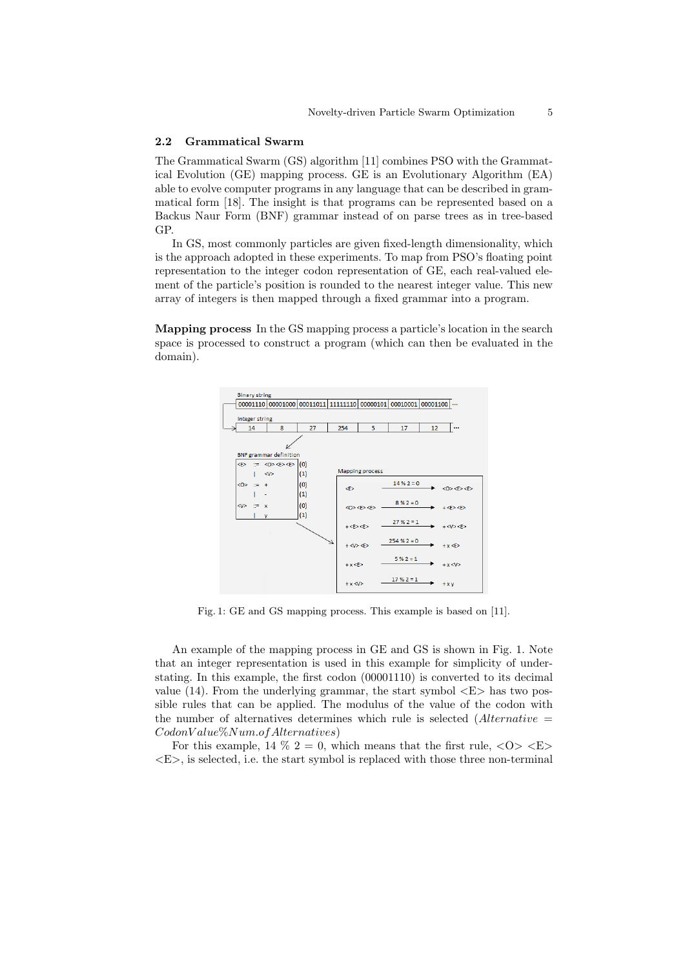# 2.2 Grammatical Swarm

The Grammatical Swarm (GS) algorithm [11] combines PSO with the Grammatical Evolution (GE) mapping process. GE is an Evolutionary Algorithm (EA) able to evolve computer programs in any language that can be described in grammatical form [18]. The insight is that programs can be represented based on a Backus Naur Form (BNF) grammar instead of on parse trees as in tree-based GP.

In GS, most commonly particles are given fixed-length dimensionality, which is the approach adopted in these experiments. To map from PSO's floating point representation to the integer codon representation of GE, each real-valued element of the particle's position is rounded to the nearest integer value. This new array of integers is then mapped through a fixed grammar into a program.

Mapping process In the GS mapping process a particle's location in the search space is processed to construct a program (which can then be evaluated in the domain).



Fig. 1: GE and GS mapping process. This example is based on [11].

An example of the mapping process in GE and GS is shown in Fig. 1. Note that an integer representation is used in this example for simplicity of understating. In this example, the first codon (00001110) is converted to its decimal value  $(14)$ . From the underlying grammar, the start symbol  $\langle E \rangle$  has two possible rules that can be applied. The modulus of the value of the codon with the number of alternatives determines which rule is selected ( $Alternative =$ CodonV alue%Num.ofAlternatives)

For this example, 14  $\%$  2 = 0, which means that the first rule,  $\langle$ O $\rangle$   $\langle$ E $\rangle$  $\langle E \rangle$ , is selected, i.e. the start symbol is replaced with those three non-terminal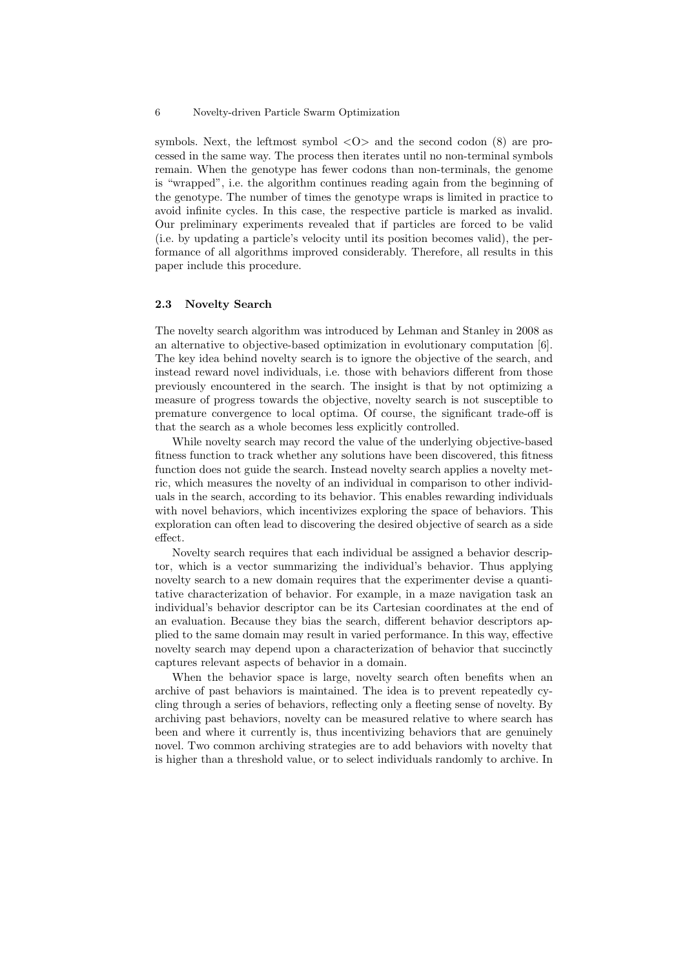symbols. Next, the leftmost symbol  $\langle O \rangle$  and the second codon (8) are processed in the same way. The process then iterates until no non-terminal symbols remain. When the genotype has fewer codons than non-terminals, the genome is "wrapped", i.e. the algorithm continues reading again from the beginning of the genotype. The number of times the genotype wraps is limited in practice to avoid infinite cycles. In this case, the respective particle is marked as invalid. Our preliminary experiments revealed that if particles are forced to be valid (i.e. by updating a particle's velocity until its position becomes valid), the performance of all algorithms improved considerably. Therefore, all results in this paper include this procedure.

# 2.3 Novelty Search

The novelty search algorithm was introduced by Lehman and Stanley in 2008 as an alternative to objective-based optimization in evolutionary computation [6]. The key idea behind novelty search is to ignore the objective of the search, and instead reward novel individuals, i.e. those with behaviors different from those previously encountered in the search. The insight is that by not optimizing a measure of progress towards the objective, novelty search is not susceptible to premature convergence to local optima. Of course, the significant trade-off is that the search as a whole becomes less explicitly controlled.

While novelty search may record the value of the underlying objective-based fitness function to track whether any solutions have been discovered, this fitness function does not guide the search. Instead novelty search applies a novelty metric, which measures the novelty of an individual in comparison to other individuals in the search, according to its behavior. This enables rewarding individuals with novel behaviors, which incentivizes exploring the space of behaviors. This exploration can often lead to discovering the desired objective of search as a side effect.

Novelty search requires that each individual be assigned a behavior descriptor, which is a vector summarizing the individual's behavior. Thus applying novelty search to a new domain requires that the experimenter devise a quantitative characterization of behavior. For example, in a maze navigation task an individual's behavior descriptor can be its Cartesian coordinates at the end of an evaluation. Because they bias the search, different behavior descriptors applied to the same domain may result in varied performance. In this way, effective novelty search may depend upon a characterization of behavior that succinctly captures relevant aspects of behavior in a domain.

When the behavior space is large, novelty search often benefits when an archive of past behaviors is maintained. The idea is to prevent repeatedly cycling through a series of behaviors, reflecting only a fleeting sense of novelty. By archiving past behaviors, novelty can be measured relative to where search has been and where it currently is, thus incentivizing behaviors that are genuinely novel. Two common archiving strategies are to add behaviors with novelty that is higher than a threshold value, or to select individuals randomly to archive. In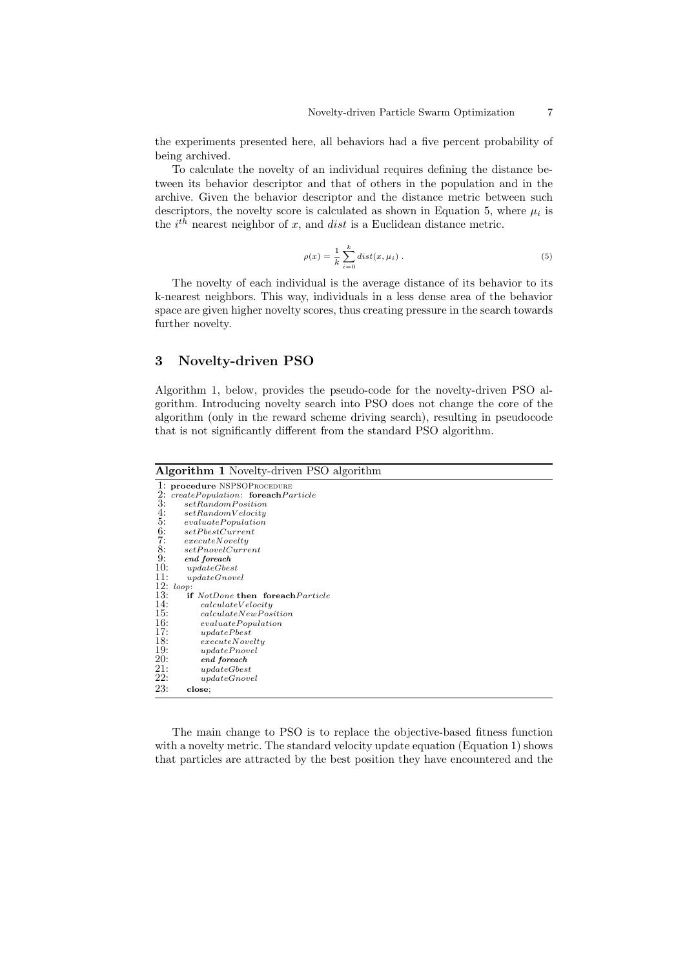the experiments presented here, all behaviors had a five percent probability of being archived.

To calculate the novelty of an individual requires defining the distance between its behavior descriptor and that of others in the population and in the archive. Given the behavior descriptor and the distance metric between such descriptors, the novelty score is calculated as shown in Equation 5, where  $\mu_i$  is the  $i^{th}$  nearest neighbor of x, and dist is a Euclidean distance metric.

$$
\rho(x) = \frac{1}{k} \sum_{i=0}^{k} dist(x, \mu_i).
$$
\n(5)

The novelty of each individual is the average distance of its behavior to its k-nearest neighbors. This way, individuals in a less dense area of the behavior space are given higher novelty scores, thus creating pressure in the search towards further novelty.

# 3 Novelty-driven PSO

Algorithm 1, below, provides the pseudo-code for the novelty-driven PSO algorithm. Introducing novelty search into PSO does not change the core of the algorithm (only in the reward scheme driving search), resulting in pseudocode that is not significantly different from the standard PSO algorithm.

Algorithm 1 Novelty-driven PSO algorithm 1: procedure NSPSOPROCEDURE<br>2:  $createPopulation:$  foreach  $Pa$ <br>3:  $setRandomPosition$  $createPopulation:$   $$  $3: setRandomPosition$ <br> $4: setRandomVelocity$  $\begin{tabular}{ll} 4: & set RandomVelocity \\ 5: & evaluate Population \end{tabular}$  $5: \begin{array}{ll} 5: & evaluatePopulation \ 6: & setPbestCurrent \ 7: & executeNovelly \ 8: & setPnovelCurrent \end{array}$  $setP bestCurrent$  $executeNovelty$ 8: setPnovelCurrent<br>9: end foreach  $9:$  end foreach  $10:$  update Gbes  $10:$   $updateGbest$ <br> $11:$   $updateGnov$  $u_{pdateG novel}$ 12: loop:<br>13: **if** NotDone **then foreach** Particle<br>14: *calculateVelocity*  $14: \begin{array}{l} 14: \hspace{20pt} calculateVelocity \ 15: \hspace{20pt} calculateNew Position \ 16: \hspace{20pt} evaluatePopulation \end{array}$ 16: evaluatePopulation<br>17: updatePbest 17: updatePbest<br>18: executeNove 18: executeNovelty<br>19: updatePnovel 19: updatePnovel<br>20: end foreach  $20:$  end foreach  $21:$  update Gbes  $21: \t updateGbest\n 22: \t updateGnow$  $undateG novel$ 23: close;

The main change to PSO is to replace the objective-based fitness function with a novelty metric. The standard velocity update equation (Equation 1) shows that particles are attracted by the best position they have encountered and the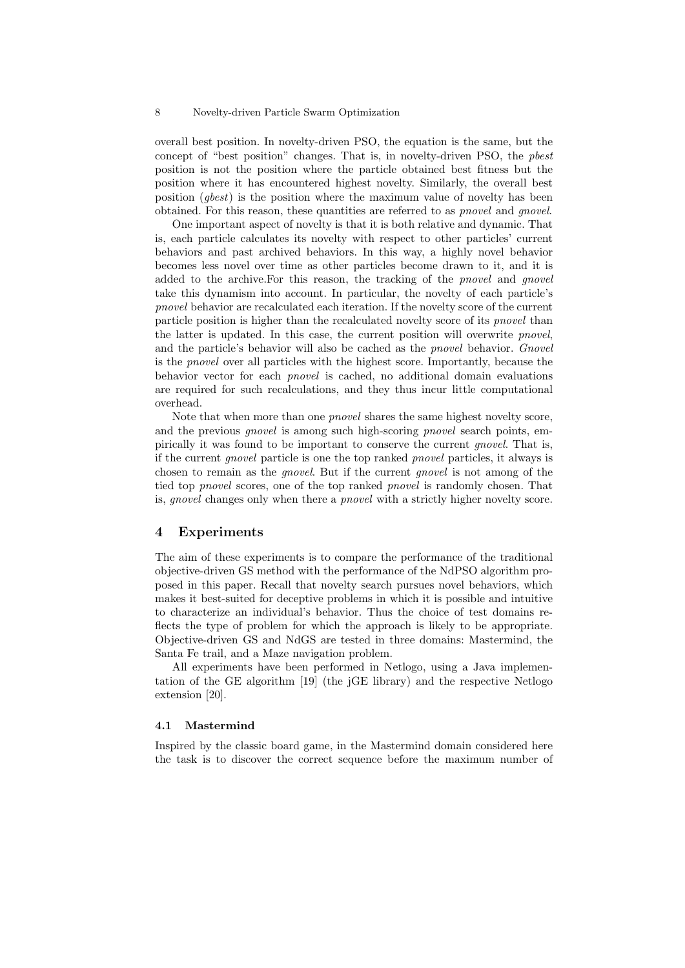overall best position. In novelty-driven PSO, the equation is the same, but the concept of "best position" changes. That is, in novelty-driven PSO, the pbest position is not the position where the particle obtained best fitness but the position where it has encountered highest novelty. Similarly, the overall best position (gbest) is the position where the maximum value of novelty has been obtained. For this reason, these quantities are referred to as pnovel and gnovel.

One important aspect of novelty is that it is both relative and dynamic. That is, each particle calculates its novelty with respect to other particles' current behaviors and past archived behaviors. In this way, a highly novel behavior becomes less novel over time as other particles become drawn to it, and it is added to the archive. For this reason, the tracking of the *pnovel* and *gnovel* take this dynamism into account. In particular, the novelty of each particle's pnovel behavior are recalculated each iteration. If the novelty score of the current particle position is higher than the recalculated novelty score of its pnovel than the latter is updated. In this case, the current position will overwrite pnovel, and the particle's behavior will also be cached as the pnovel behavior. Gnovel is the pnovel over all particles with the highest score. Importantly, because the behavior vector for each pnovel is cached, no additional domain evaluations are required for such recalculations, and they thus incur little computational overhead.

Note that when more than one pnovel shares the same highest novelty score, and the previous *gnovel* is among such high-scoring *pnovel* search points, empirically it was found to be important to conserve the current gnovel. That is, if the current gnovel particle is one the top ranked pnovel particles, it always is chosen to remain as the gnovel. But if the current gnovel is not among of the tied top pnovel scores, one of the top ranked pnovel is randomly chosen. That is, *gnovel* changes only when there a *pnovel* with a strictly higher novelty score.

# 4 Experiments

The aim of these experiments is to compare the performance of the traditional objective-driven GS method with the performance of the NdPSO algorithm proposed in this paper. Recall that novelty search pursues novel behaviors, which makes it best-suited for deceptive problems in which it is possible and intuitive to characterize an individual's behavior. Thus the choice of test domains reflects the type of problem for which the approach is likely to be appropriate. Objective-driven GS and NdGS are tested in three domains: Mastermind, the Santa Fe trail, and a Maze navigation problem.

All experiments have been performed in Netlogo, using a Java implementation of the GE algorithm [19] (the jGE library) and the respective Netlogo extension [20].

### 4.1 Mastermind

Inspired by the classic board game, in the Mastermind domain considered here the task is to discover the correct sequence before the maximum number of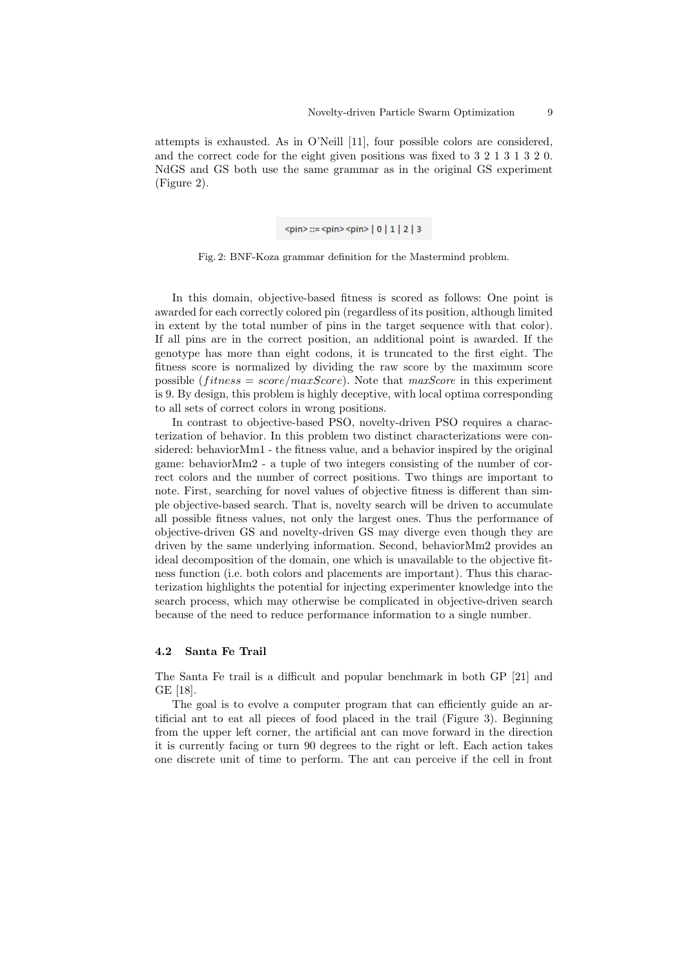attempts is exhausted. As in O'Neill [11], four possible colors are considered, and the correct code for the eight given positions was fixed to 3 2 1 3 1 3 2 0. NdGS and GS both use the same grammar as in the original GS experiment (Figure 2).

 $\pi$  <pin>::= <pin> <pin> | 0 | 1 | 2 | 3

Fig. 2: BNF-Koza grammar definition for the Mastermind problem.

In this domain, objective-based fitness is scored as follows: One point is awarded for each correctly colored pin (regardless of its position, although limited in extent by the total number of pins in the target sequence with that color). If all pins are in the correct position, an additional point is awarded. If the genotype has more than eight codons, it is truncated to the first eight. The fitness score is normalized by dividing the raw score by the maximum score possible (fitness = score/maxScore). Note that maxScore in this experiment is 9. By design, this problem is highly deceptive, with local optima corresponding to all sets of correct colors in wrong positions.

In contrast to objective-based PSO, novelty-driven PSO requires a characterization of behavior. In this problem two distinct characterizations were considered: behaviorMm1 - the fitness value, and a behavior inspired by the original game: behaviorMm2 - a tuple of two integers consisting of the number of correct colors and the number of correct positions. Two things are important to note. First, searching for novel values of objective fitness is different than simple objective-based search. That is, novelty search will be driven to accumulate all possible fitness values, not only the largest ones. Thus the performance of objective-driven GS and novelty-driven GS may diverge even though they are driven by the same underlying information. Second, behaviorMm2 provides an ideal decomposition of the domain, one which is unavailable to the objective fitness function (i.e. both colors and placements are important). Thus this characterization highlights the potential for injecting experimenter knowledge into the search process, which may otherwise be complicated in objective-driven search because of the need to reduce performance information to a single number.

#### 4.2 Santa Fe Trail

The Santa Fe trail is a difficult and popular benchmark in both GP [21] and GE [18].

The goal is to evolve a computer program that can efficiently guide an artificial ant to eat all pieces of food placed in the trail (Figure 3). Beginning from the upper left corner, the artificial ant can move forward in the direction it is currently facing or turn 90 degrees to the right or left. Each action takes one discrete unit of time to perform. The ant can perceive if the cell in front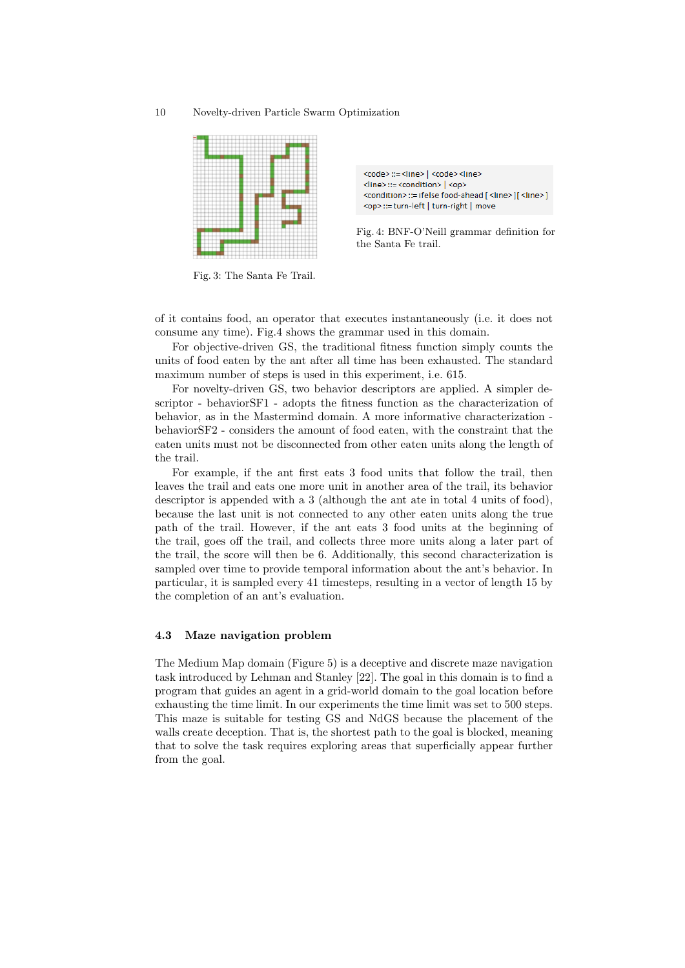

Fig. 3: The Santa Fe Trail.

<code>::=<line> | <code><line> <line>::=<condition> | <op> <condition> ::= ifelse food-ahead [ <line> ][ <line>] <op> ::= turn-left | turn-right | move

Fig. 4: BNF-O'Neill grammar definition for the Santa Fe trail.

of it contains food, an operator that executes instantaneously (i.e. it does not consume any time). Fig.4 shows the grammar used in this domain.

For objective-driven GS, the traditional fitness function simply counts the units of food eaten by the ant after all time has been exhausted. The standard maximum number of steps is used in this experiment, i.e. 615.

For novelty-driven GS, two behavior descriptors are applied. A simpler descriptor - behaviorSF1 - adopts the fitness function as the characterization of behavior, as in the Mastermind domain. A more informative characterization behaviorSF2 - considers the amount of food eaten, with the constraint that the eaten units must not be disconnected from other eaten units along the length of the trail.

For example, if the ant first eats 3 food units that follow the trail, then leaves the trail and eats one more unit in another area of the trail, its behavior descriptor is appended with a 3 (although the ant ate in total 4 units of food), because the last unit is not connected to any other eaten units along the true path of the trail. However, if the ant eats 3 food units at the beginning of the trail, goes off the trail, and collects three more units along a later part of the trail, the score will then be 6. Additionally, this second characterization is sampled over time to provide temporal information about the ant's behavior. In particular, it is sampled every 41 timesteps, resulting in a vector of length 15 by the completion of an ant's evaluation.

### 4.3 Maze navigation problem

The Medium Map domain (Figure 5) is a deceptive and discrete maze navigation task introduced by Lehman and Stanley [22]. The goal in this domain is to find a program that guides an agent in a grid-world domain to the goal location before exhausting the time limit. In our experiments the time limit was set to 500 steps. This maze is suitable for testing GS and NdGS because the placement of the walls create deception. That is, the shortest path to the goal is blocked, meaning that to solve the task requires exploring areas that superficially appear further from the goal.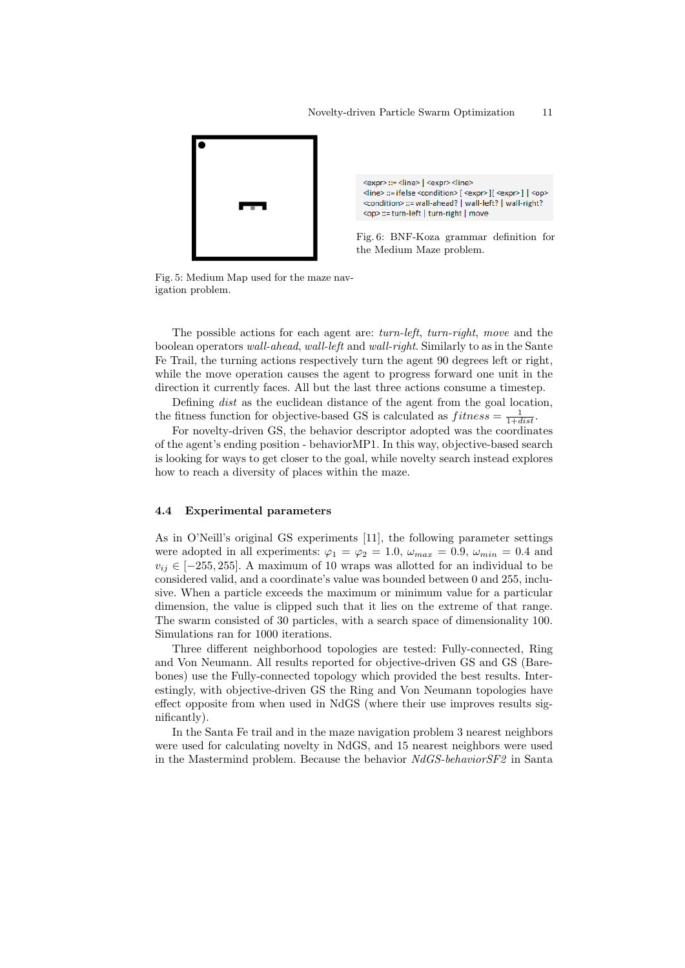

<expr> ::= <line> | <expr> <line> <line> ::= ifelse <condition> [ <expr> ] [ <expr> ] | <op> <condition> ::= wall-ahead? | wall-left? | wall-right? <op> ::= turn-left | turn-right | move

Fig. 6: BNF-Koza grammar definition for the Medium Maze problem.

Fig. 5: Medium Map used for the maze navigation problem.

The possible actions for each agent are: turn-left, turn-right, move and the boolean operators wall-ahead, wall-left and wall-right. Similarly to as in the Sante Fe Trail, the turning actions respectively turn the agent 90 degrees left or right, while the move operation causes the agent to progress forward one unit in the direction it currently faces. All but the last three actions consume a timestep.

Defining dist as the euclidean distance of the agent from the goal location, the fitness function for objective-based GS is calculated as  $fitness = \frac{1}{1+dist}$ .

For novelty-driven GS, the behavior descriptor adopted was the coordinates of the agent's ending position - behaviorMP1. In this way, objective-based search is looking for ways to get closer to the goal, while novelty search instead explores how to reach a diversity of places within the maze.

# 4.4 Experimental parameters

As in O'Neill's original GS experiments [11], the following parameter settings were adopted in all experiments:  $\varphi_1 = \varphi_2 = 1.0$ ,  $\omega_{max} = 0.9$ ,  $\omega_{min} = 0.4$  and  $v_{ij} \in [-255, 255]$ . A maximum of 10 wraps was allotted for an individual to be considered valid, and a coordinate's value was bounded between 0 and 255, inclusive. When a particle exceeds the maximum or minimum value for a particular dimension, the value is clipped such that it lies on the extreme of that range. The swarm consisted of 30 particles, with a search space of dimensionality 100. Simulations ran for 1000 iterations.

Three different neighborhood topologies are tested: Fully-connected, Ring and Von Neumann. All results reported for objective-driven GS and GS (Barebones) use the Fully-connected topology which provided the best results. Interestingly, with objective-driven GS the Ring and Von Neumann topologies have effect opposite from when used in NdGS (where their use improves results significantly).

In the Santa Fe trail and in the maze navigation problem 3 nearest neighbors were used for calculating novelty in NdGS, and 15 nearest neighbors were used in the Mastermind problem. Because the behavior NdGS-behaviorSF2 in Santa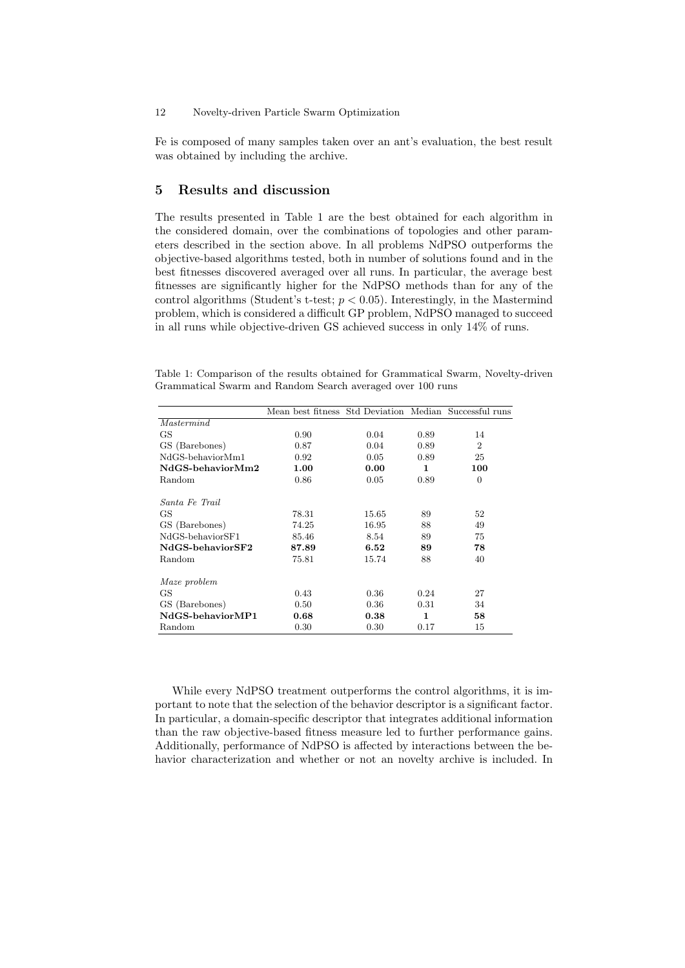Fe is composed of many samples taken over an ant's evaluation, the best result was obtained by including the archive.

# 5 Results and discussion

The results presented in Table 1 are the best obtained for each algorithm in the considered domain, over the combinations of topologies and other parameters described in the section above. In all problems NdPSO outperforms the objective-based algorithms tested, both in number of solutions found and in the best fitnesses discovered averaged over all runs. In particular, the average best fitnesses are significantly higher for the NdPSO methods than for any of the control algorithms (Student's t-test;  $p < 0.05$ ). Interestingly, in the Mastermind problem, which is considered a difficult GP problem, NdPSO managed to succeed in all runs while objective-driven GS achieved success in only 14% of runs.

Table 1: Comparison of the results obtained for Grammatical Swarm, Novelty-driven Grammatical Swarm and Random Search averaged over 100 runs

|                  | Mean best fitness |       |      | Std Deviation Median Successful runs |
|------------------|-------------------|-------|------|--------------------------------------|
| Mastermind       |                   |       |      |                                      |
| GS               | 0.90              | 0.04  | 0.89 | 14                                   |
| GS (Barebones)   | 0.87              | 0.04  | 0.89 | $\overline{2}$                       |
| NdGS-behaviorMm1 | 0.92              | 0.05  | 0.89 | 25                                   |
| NdGS-behaviorMm2 | 1.00              | 0.00  | 1    | 100                                  |
| Random           | 0.86              | 0.05  | 0.89 | $\theta$                             |
| Santa Fe Trail   |                   |       |      |                                      |
| GS               | 78.31             | 15.65 | 89   | 52                                   |
| GS (Barebones)   | 74.25             | 16.95 | 88   | 49                                   |
| NdGS-behaviorSF1 | 85.46             | 8.54  | 89   | 75                                   |
| NdGS-behaviorSF2 | 87.89             | 6.52  | 89   | 78                                   |
| Random           | 75.81             | 15.74 | 88   | 40                                   |
| Maze problem     |                   |       |      |                                      |
| GS.              | 0.43              | 0.36  | 0.24 | 27                                   |
| GS (Barebones)   | 0.50              | 0.36  | 0.31 | 34                                   |
| NdGS-behaviorMP1 | 0.68              | 0.38  | 1    | 58                                   |
| Random           | 0.30              | 0.30  | 0.17 | 15                                   |

While every NdPSO treatment outperforms the control algorithms, it is important to note that the selection of the behavior descriptor is a significant factor. In particular, a domain-specific descriptor that integrates additional information than the raw objective-based fitness measure led to further performance gains. Additionally, performance of NdPSO is affected by interactions between the behavior characterization and whether or not an novelty archive is included. In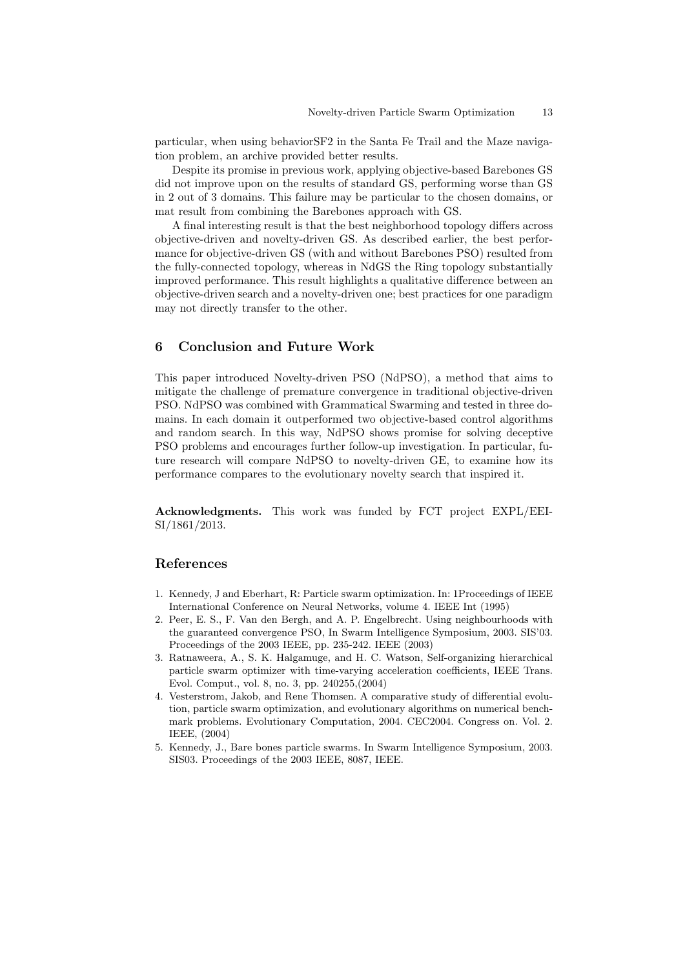particular, when using behaviorSF2 in the Santa Fe Trail and the Maze navigation problem, an archive provided better results.

Despite its promise in previous work, applying objective-based Barebones GS did not improve upon on the results of standard GS, performing worse than GS in 2 out of 3 domains. This failure may be particular to the chosen domains, or mat result from combining the Barebones approach with GS.

A final interesting result is that the best neighborhood topology differs across objective-driven and novelty-driven GS. As described earlier, the best performance for objective-driven GS (with and without Barebones PSO) resulted from the fully-connected topology, whereas in NdGS the Ring topology substantially improved performance. This result highlights a qualitative difference between an objective-driven search and a novelty-driven one; best practices for one paradigm may not directly transfer to the other.

# 6 Conclusion and Future Work

This paper introduced Novelty-driven PSO (NdPSO), a method that aims to mitigate the challenge of premature convergence in traditional objective-driven PSO. NdPSO was combined with Grammatical Swarming and tested in three domains. In each domain it outperformed two objective-based control algorithms and random search. In this way, NdPSO shows promise for solving deceptive PSO problems and encourages further follow-up investigation. In particular, future research will compare NdPSO to novelty-driven GE, to examine how its performance compares to the evolutionary novelty search that inspired it.

Acknowledgments. This work was funded by FCT project EXPL/EEI-SI/1861/2013.

# References

- 1. Kennedy, J and Eberhart, R: Particle swarm optimization. In: 1Proceedings of IEEE International Conference on Neural Networks, volume 4. IEEE Int (1995)
- 2. Peer, E. S., F. Van den Bergh, and A. P. Engelbrecht. Using neighbourhoods with the guaranteed convergence PSO, In Swarm Intelligence Symposium, 2003. SIS'03. Proceedings of the 2003 IEEE, pp. 235-242. IEEE (2003)
- 3. Ratnaweera, A., S. K. Halgamuge, and H. C. Watson, Self-organizing hierarchical particle swarm optimizer with time-varying acceleration coefficients, IEEE Trans. Evol. Comput., vol. 8, no. 3, pp. 240255,(2004)
- 4. Vesterstrom, Jakob, and Rene Thomsen. A comparative study of differential evolution, particle swarm optimization, and evolutionary algorithms on numerical benchmark problems. Evolutionary Computation, 2004. CEC2004. Congress on. Vol. 2. IEEE, (2004)
- 5. Kennedy, J., Bare bones particle swarms. In Swarm Intelligence Symposium, 2003. SIS03. Proceedings of the 2003 IEEE, 8087, IEEE.